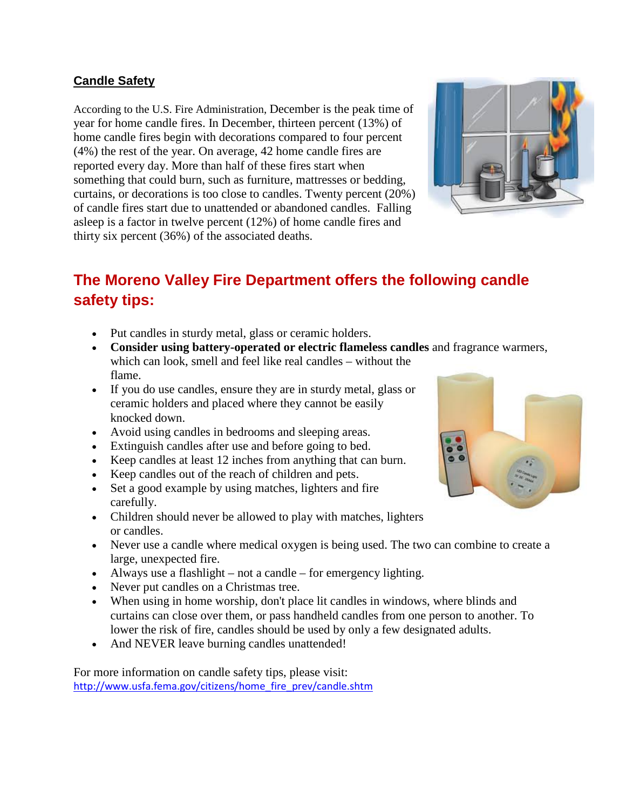#### **Candle Safety**

According to the U.S. Fire Administration, December is the peak time of year for home candle fires. In December, thirteen percent (13%) of home candle fires begin with decorations compared to four percent (4%) the rest of the year. On average, 42 home candle fires are reported every day. More than half of these fires start when something that could burn, such as furniture, mattresses or bedding, curtains, or decorations is too close to candles. Twenty percent (20%) of candle fires start due to unattended or abandoned candles. Falling asleep is a factor in twelve percent (12%) of home candle fires and thirty six percent (36%) of the associated deaths.



# **The Moreno Valley Fire Department offers the following candle safety tips:**

- Put candles in sturdy metal, glass or ceramic holders.
- **Consider using battery-operated or electric flameless candles** and fragrance warmers, which can look, smell and feel like real candles – without the flame.
- If you do use candles, ensure they are in sturdy metal, glass or ceramic holders and placed where they cannot be easily knocked down.
- Avoid using candles in bedrooms and sleeping areas.
- Extinguish candles after use and before going to bed.
- Keep candles at least 12 inches from anything that can burn.
- Keep candles out of the reach of children and pets.
- Set a good example by using matches, lighters and fire carefully.
- Children should never be allowed to play with matches, lighters or candles.
- Never use a candle where medical oxygen is being used. The two can combine to create a large, unexpected fire.
- Always use a flashlight not a candle for emergency lighting.
- Never put candles on a Christmas tree.
- When using in home worship, don't place lit candles in windows, where blinds and curtains can close over them, or pass handheld candles from one person to another. To lower the risk of fire, candles should be used by only a few designated adults.
- And NEVER leave burning candles unattended!

For more information on candle safety tips, please visit: [http://www.usfa.fema.gov/citizens/home\\_fire\\_prev/candle.shtm](http://www.usfa.fema.gov/citizens/home_fire_prev/candle.shtm)

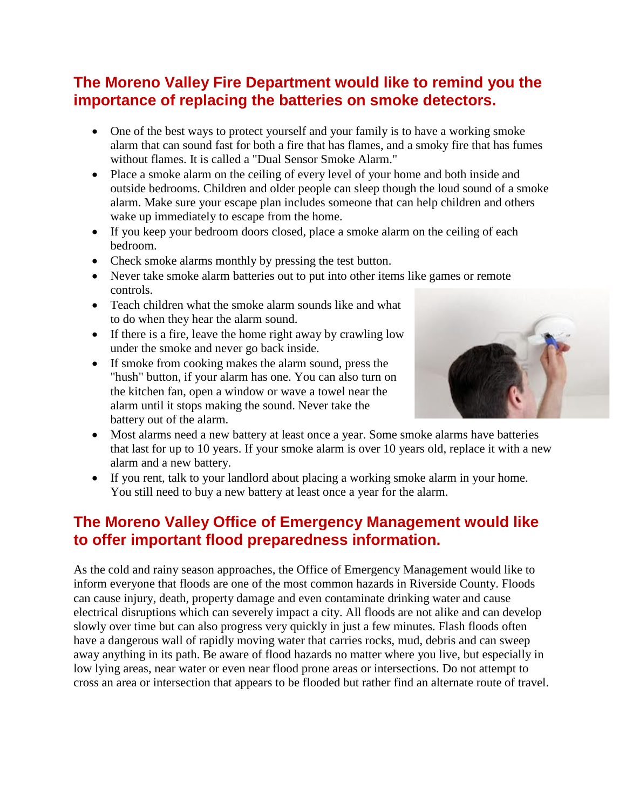## **The Moreno Valley Fire Department would like to remind you the importance of replacing the batteries on smoke detectors.**

- One of the best ways to protect yourself and your family is to have a working smoke alarm that can sound fast for both a fire that has flames, and a smoky fire that has fumes without flames. It is called a "Dual Sensor Smoke Alarm."
- Place a smoke alarm on the ceiling of every level of your home and both inside and outside bedrooms. Children and older people can sleep though the loud sound of a smoke alarm. Make sure your escape plan includes someone that can help children and others wake up immediately to escape from the home.
- If you keep your bedroom doors closed, place a smoke alarm on the ceiling of each bedroom.
- Check smoke alarms monthly by pressing the test button.
- Never take smoke alarm batteries out to put into other items like games or remote controls.
- Teach children what the smoke alarm sounds like and what to do when they hear the alarm sound.
- If there is a fire, leave the home right away by crawling low under the smoke and never go back inside.
- If smoke from cooking makes the alarm sound, press the "hush" button, if your alarm has one. You can also turn on the kitchen fan, open a window or wave a towel near the alarm until it stops making the sound. Never take the battery out of the alarm.



- Most alarms need a new battery at least once a year. Some smoke alarms have batteries that last for up to 10 years. If your smoke alarm is over 10 years old, replace it with a new alarm and a new battery.
- If you rent, talk to your landlord about placing a working smoke alarm in your home. You still need to buy a new battery at least once a year for the alarm.

### **The Moreno Valley Office of Emergency Management would like to offer important flood preparedness information.**

As the cold and rainy season approaches, the Office of Emergency Management would like to inform everyone that floods are one of the most common hazards in Riverside County. Floods can cause injury, death, property damage and even contaminate drinking water and cause electrical disruptions which can severely impact a city. All floods are not alike and can develop slowly over time but can also progress very quickly in just a few minutes. Flash floods often have a dangerous wall of rapidly moving water that carries rocks, mud, debris and can sweep away anything in its path. Be aware of flood hazards no matter where you live, but especially in low lying areas, near water or even near flood prone areas or intersections. Do not attempt to cross an area or intersection that appears to be flooded but rather find an alternate route of travel.